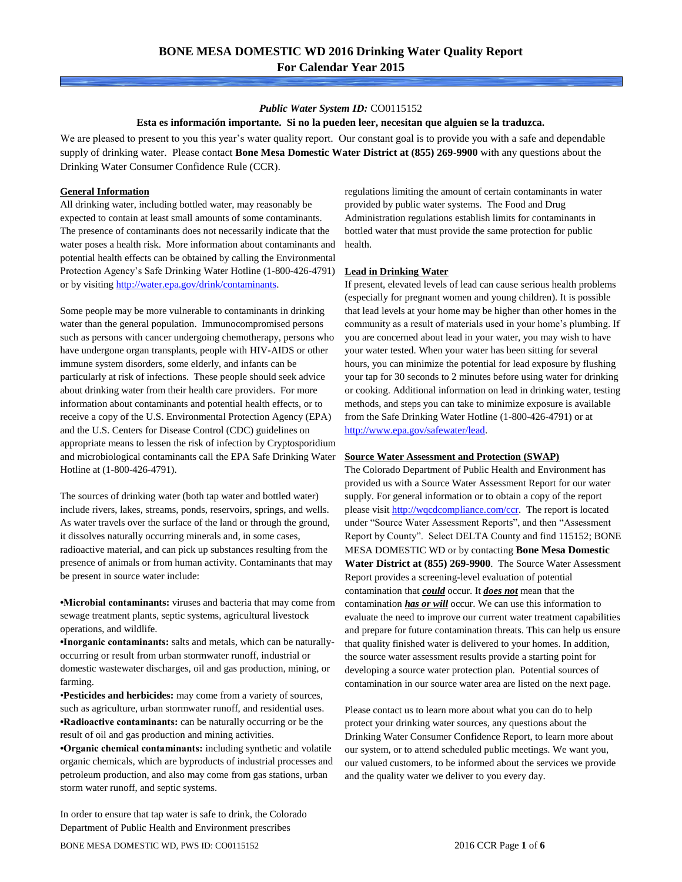### *Public Water System ID:* CO0115152

#### **Esta es información importante. Si no la pueden leer, necesitan que alguien se la traduzca.**

We are pleased to present to you this year's water quality report. Our constant goal is to provide you with a safe and dependable supply of drinking water. Please contact **Bone Mesa Domestic Water District at (855) 269-9900** with any questions about the Drinking Water Consumer Confidence Rule (CCR).

#### **General Information**

All drinking water, including bottled water, may reasonably be expected to contain at least small amounts of some contaminants. The presence of contaminants does not necessarily indicate that the water poses a health risk. More information about contaminants and potential health effects can be obtained by calling the Environmental Protection Agency's Safe Drinking Water Hotline (1-800-426-4791) or by visiting [http://water.epa.gov/drink/contaminants.](http://water.epa.gov/drink/contaminants)

Some people may be more vulnerable to contaminants in drinking water than the general population. Immunocompromised persons such as persons with cancer undergoing chemotherapy, persons who have undergone organ transplants, people with HIV-AIDS or other immune system disorders, some elderly, and infants can be particularly at risk of infections. These people should seek advice about drinking water from their health care providers. For more information about contaminants and potential health effects, or to receive a copy of the U.S. Environmental Protection Agency (EPA) and the U.S. Centers for Disease Control (CDC) guidelines on appropriate means to lessen the risk of infection by Cryptosporidium and microbiological contaminants call the EPA Safe Drinking Water Hotline at (1-800-426-4791).

The sources of drinking water (both tap water and bottled water) include rivers, lakes, streams, ponds, reservoirs, springs, and wells. As water travels over the surface of the land or through the ground, it dissolves naturally occurring minerals and, in some cases, radioactive material, and can pick up substances resulting from the presence of animals or from human activity. Contaminants that may be present in source water include:

**•Microbial contaminants:** viruses and bacteria that may come from sewage treatment plants, septic systems, agricultural livestock operations, and wildlife.

**•Inorganic contaminants:** salts and metals, which can be naturallyoccurring or result from urban stormwater runoff, industrial or domestic wastewater discharges, oil and gas production, mining, or farming.

•**Pesticides and herbicides:** may come from a variety of sources, such as agriculture, urban stormwater runoff, and residential uses. **•Radioactive contaminants:** can be naturally occurring or be the result of oil and gas production and mining activities.

**•Organic chemical contaminants:** including synthetic and volatile organic chemicals, which are byproducts of industrial processes and petroleum production, and also may come from gas stations, urban storm water runoff, and septic systems.

In order to ensure that tap water is safe to drink, the Colorado Department of Public Health and Environment prescribes

regulations limiting the amount of certain contaminants in water provided by public water systems. The Food and Drug Administration regulations establish limits for contaminants in bottled water that must provide the same protection for public health.

#### **Lead in Drinking Water**

If present, elevated levels of lead can cause serious health problems (especially for pregnant women and young children). It is possible that lead levels at your home may be higher than other homes in the community as a result of materials used in your home's plumbing. If you are concerned about lead in your water, you may wish to have your water tested. When your water has been sitting for several hours, you can minimize the potential for lead exposure by flushing your tap for 30 seconds to 2 minutes before using water for drinking or cooking. Additional information on lead in drinking water, testing methods, and steps you can take to minimize exposure is available from the Safe Drinking Water Hotline (1-800-426-4791) or at [http://www.epa.gov/safewater/lead.](http://www.epa.gov/safewater/lead) 

#### **Source Water Assessment and Protection (SWAP)**

The Colorado Department of Public Health and Environment has provided us with a Source Water Assessment Report for our water supply. For general information or to obtain a copy of the report please visit [http://wqcdcompliance.com/ccr.](http://wqcdcompliance.com/ccr) The report is located under "Source Water Assessment Reports", and then "Assessment Report by County". Select DELTA County and find 115152; BONE MESA DOMESTIC WD or by contacting **Bone Mesa Domestic Water District at (855) 269-9900**. The Source Water Assessment Report provides a screening-level evaluation of potential contamination that *could* occur. It *does not* mean that the contamination *has or will* occur. We can use this information to evaluate the need to improve our current water treatment capabilities and prepare for future contamination threats. This can help us ensure that quality finished water is delivered to your homes. In addition, the source water assessment results provide a starting point for developing a source water protection plan. Potential sources of contamination in our source water area are listed on the next page.

Please contact us to learn more about what you can do to help protect your drinking water sources, any questions about the Drinking Water Consumer Confidence Report, to learn more about our system, or to attend scheduled public meetings. We want you, our valued customers, to be informed about the services we provide and the quality water we deliver to you every day.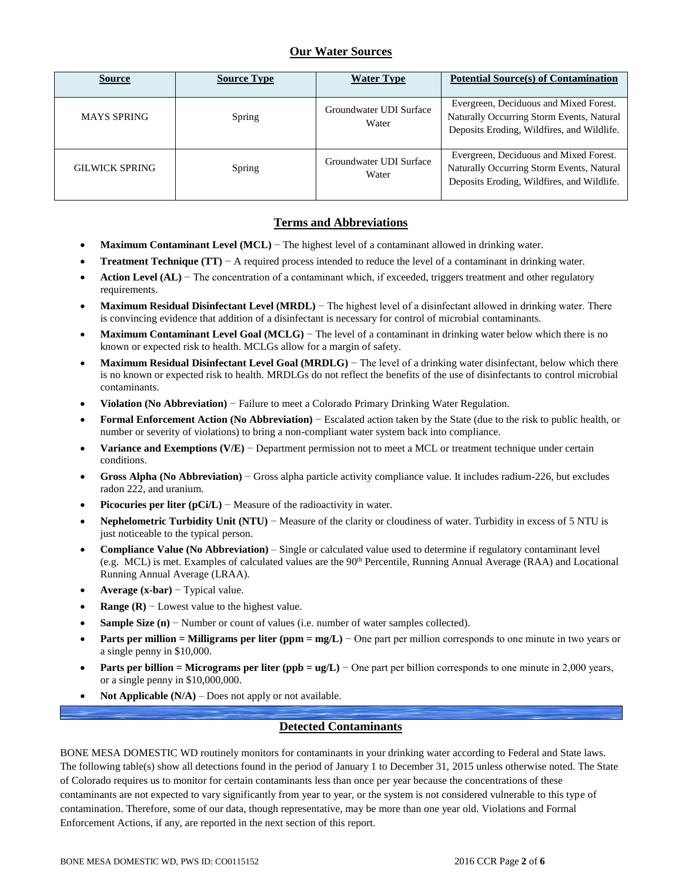# **Our Water Sources**

| <b>Source</b>         | <b>Source Type</b> | <b>Water Type</b>                | <b>Potential Source(s) of Contamination</b>                                                                                       |
|-----------------------|--------------------|----------------------------------|-----------------------------------------------------------------------------------------------------------------------------------|
| <b>MAYS SPRING</b>    | Spring             | Groundwater UDI Surface<br>Water | Evergreen, Deciduous and Mixed Forest.<br>Naturally Occurring Storm Events, Natural<br>Deposits Eroding, Wildfires, and Wildlife. |
| <b>GILWICK SPRING</b> | Spring             | Groundwater UDI Surface<br>Water | Evergreen, Deciduous and Mixed Forest.<br>Naturally Occurring Storm Events, Natural<br>Deposits Eroding, Wildfires, and Wildlife. |

## **Terms and Abbreviations**

- **Maximum Contaminant Level (MCL)** − The highest level of a contaminant allowed in drinking water.
- **Treatment Technique (TT)** − A required process intended to reduce the level of a contaminant in drinking water.
- **Action Level (AL)** − The concentration of a contaminant which, if exceeded, triggers treatment and other regulatory requirements.
- **Maximum Residual Disinfectant Level (MRDL)** − The highest level of a disinfectant allowed in drinking water. There is convincing evidence that addition of a disinfectant is necessary for control of microbial contaminants.
- **Maximum Contaminant Level Goal (MCLG)** − The level of a contaminant in drinking water below which there is no known or expected risk to health. MCLGs allow for a margin of safety.
- **Maximum Residual Disinfectant Level Goal (MRDLG)** − The level of a drinking water disinfectant, below which there is no known or expected risk to health. MRDLGs do not reflect the benefits of the use of disinfectants to control microbial contaminants.
- **Violation (No Abbreviation)** − Failure to meet a Colorado Primary Drinking Water Regulation.
- **Formal Enforcement Action (No Abbreviation)** − Escalated action taken by the State (due to the risk to public health, or number or severity of violations) to bring a non-compliant water system back into compliance.
- **Variance and Exemptions (V/E)** − Department permission not to meet a MCL or treatment technique under certain conditions.
- **Gross Alpha (No Abbreviation)** − Gross alpha particle activity compliance value. It includes radium-226, but excludes radon 222, and uranium.
- **Picocuries per liter (pCi/L)** − Measure of the radioactivity in water.
- **Nephelometric Turbidity Unit (NTU)** − Measure of the clarity or cloudiness of water. Turbidity in excess of 5 NTU is just noticeable to the typical person.
- **Compliance Value (No Abbreviation)** Single or calculated value used to determine if regulatory contaminant level (e.g. MCL) is met. Examples of calculated values are the 90<sup>th</sup> Percentile, Running Annual Average (RAA) and Locational Running Annual Average (LRAA).
- **Average (x-bar)** − Typical value.
- **Range (R)**  $-$  Lowest value to the highest value.
- **Sample Size (n)** − Number or count of values (i.e. number of water samples collected).
- **Parts per million = Milligrams per liter (ppm = mg/L)** − One part per million corresponds to one minute in two years or a single penny in \$10,000.
- **Parts per billion = Micrograms per liter (ppb = ug/L)** − One part per billion corresponds to one minute in 2,000 years, or a single penny in \$10,000,000.
- **Not Applicable (N/A)** Does not apply or not available.

### **Detected Contaminants**

BONE MESA DOMESTIC WD routinely monitors for contaminants in your drinking water according to Federal and State laws. The following table(s) show all detections found in the period of January 1 to December 31, 2015 unless otherwise noted. The State of Colorado requires us to monitor for certain contaminants less than once per year because the concentrations of these contaminants are not expected to vary significantly from year to year, or the system is not considered vulnerable to this type of contamination. Therefore, some of our data, though representative, may be more than one year old. Violations and Formal Enforcement Actions, if any, are reported in the next section of this report.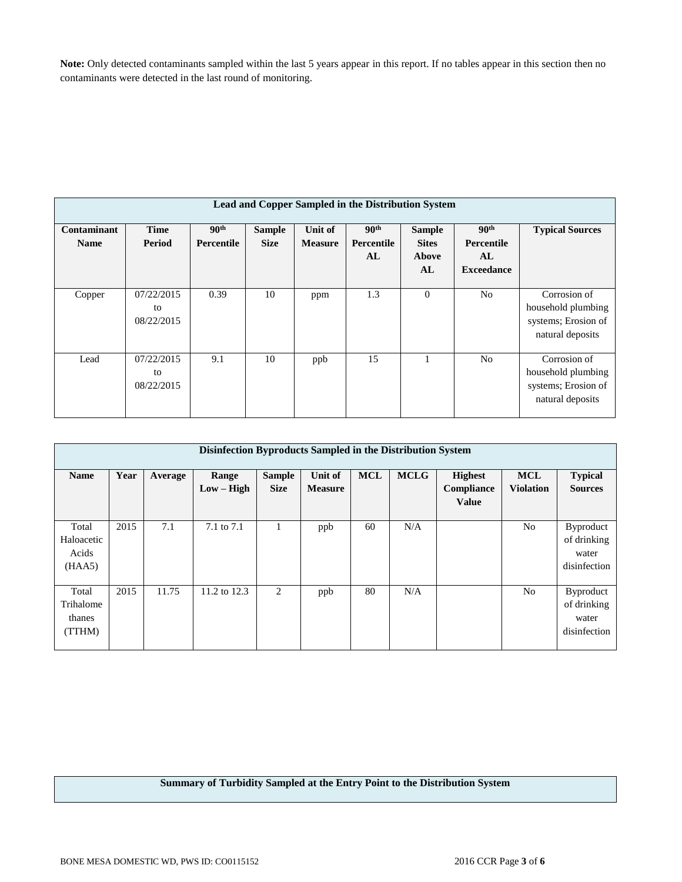**Note:** Only detected contaminants sampled within the last 5 years appear in this report. If no tables appear in this section then no contaminants were detected in the last round of monitoring.

|                            | Lead and Copper Sampled in the Distribution System |                                       |                              |                                  |                                      |                                              |                                                                  |                                                                               |  |  |
|----------------------------|----------------------------------------------------|---------------------------------------|------------------------------|----------------------------------|--------------------------------------|----------------------------------------------|------------------------------------------------------------------|-------------------------------------------------------------------------------|--|--|
| Contaminant<br><b>Name</b> | <b>Time</b><br>Period                              | 90 <sup>th</sup><br><b>Percentile</b> | <b>Sample</b><br><b>Size</b> | <b>Unit of</b><br><b>Measure</b> | 90 <sup>th</sup><br>Percentile<br>AL | <b>Sample</b><br><b>Sites</b><br>Above<br>AL | 90 <sup>th</sup><br><b>Percentile</b><br>AL<br><b>Exceedance</b> | <b>Typical Sources</b>                                                        |  |  |
| Copper                     | 07/22/2015<br>to<br>08/22/2015                     | 0.39                                  | 10                           | ppm                              | 1.3                                  | $\overline{0}$                               | N <sub>o</sub>                                                   | Corrosion of<br>household plumbing<br>systems; Erosion of<br>natural deposits |  |  |
| Lead                       | 07/22/2015<br>to<br>08/22/2015                     | 9.1                                   | 10                           | ppb                              | 15                                   |                                              | N <sub>o</sub>                                                   | Corrosion of<br>household plumbing<br>systems; Erosion of<br>natural deposits |  |  |

|                                        | Disinfection Byproducts Sampled in the Distribution System |         |                       |                              |                           |            |             |                                              |                                |                                                          |  |
|----------------------------------------|------------------------------------------------------------|---------|-----------------------|------------------------------|---------------------------|------------|-------------|----------------------------------------------|--------------------------------|----------------------------------------------------------|--|
| <b>Name</b>                            | Year                                                       | Average | Range<br>$Low - High$ | <b>Sample</b><br><b>Size</b> | Unit of<br><b>Measure</b> | <b>MCL</b> | <b>MCLG</b> | <b>Highest</b><br>Compliance<br><b>Value</b> | <b>MCL</b><br><b>Violation</b> | <b>Typical</b><br><b>Sources</b>                         |  |
| Total<br>Haloacetic<br>Acids<br>(HAA5) | 2015                                                       | 7.1     | 7.1 to 7.1            |                              | ppb                       | 60         | N/A         |                                              | N <sub>0</sub>                 | <b>Byproduct</b><br>of drinking<br>water<br>disinfection |  |
| Total<br>Trihalome<br>thanes<br>(TTHM) | 2015                                                       | 11.75   | 11.2 to 12.3          | 2                            | ppb                       | 80         | N/A         |                                              | N <sub>0</sub>                 | <b>Byproduct</b><br>of drinking<br>water<br>disinfection |  |

### **Summary of Turbidity Sampled at the Entry Point to the Distribution System**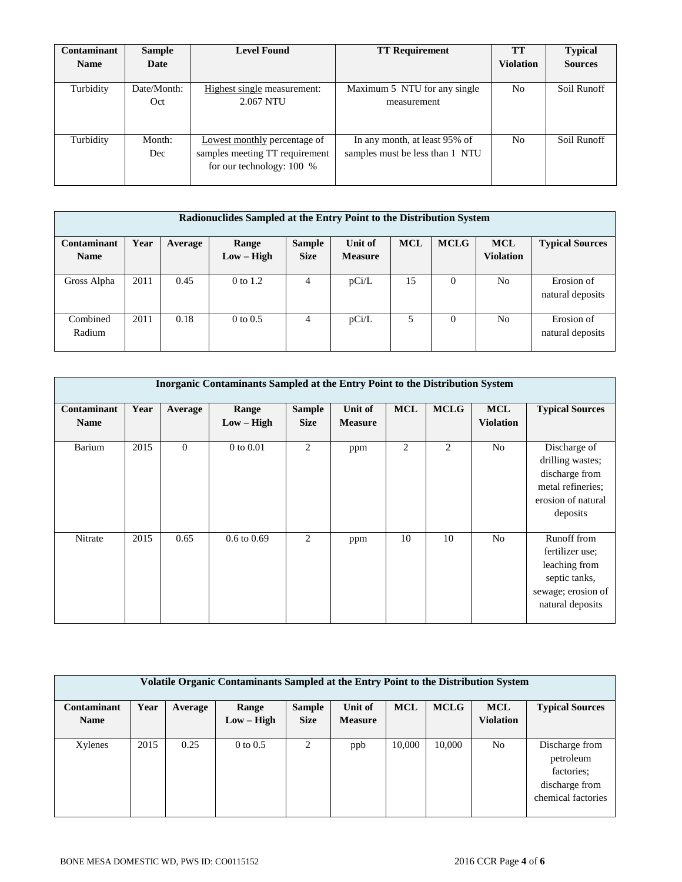| Contaminant | <b>Sample</b> | <b>Level Found</b>             | <b>TT Requirement</b>           | <b>TT</b>        | <b>Typical</b> |
|-------------|---------------|--------------------------------|---------------------------------|------------------|----------------|
| <b>Name</b> | Date          |                                |                                 | <b>Violation</b> | <b>Sources</b> |
|             |               |                                |                                 |                  |                |
| Turbidity   | Date/Month:   | Highest single measurement:    | Maximum 5 NTU for any single    | No               | Soil Runoff    |
|             | Oct           | 2.067 NTU                      | measurement                     |                  |                |
|             |               |                                |                                 |                  |                |
|             |               |                                |                                 |                  |                |
| Turbidity   | Month:        | Lowest monthly percentage of   | In any month, at least 95% of   | N <sub>o</sub>   | Soil Runoff    |
|             | Dec           | samples meeting TT requirement | samples must be less than 1 NTU |                  |                |
|             |               | for our technology: 100 %      |                                 |                  |                |
|             |               |                                |                                 |                  |                |

| Radionuclides Sampled at the Entry Point to the Distribution System |      |         |              |               |                |            |             |                  |                        |
|---------------------------------------------------------------------|------|---------|--------------|---------------|----------------|------------|-------------|------------------|------------------------|
| Contaminant                                                         | Year | Average | Range        | <b>Sample</b> | Unit of        | <b>MCL</b> | <b>MCLG</b> | <b>MCL</b>       | <b>Typical Sources</b> |
| <b>Name</b>                                                         |      |         | $Low - High$ | <b>Size</b>   | <b>Measure</b> |            |             | <b>Violation</b> |                        |
|                                                                     |      |         |              |               |                |            |             |                  |                        |
| Gross Alpha                                                         | 2011 | 0.45    | 0 to 1.2     | 4             | pCi/L          | 15         | $\Omega$    | N <sub>o</sub>   | Erosion of             |
|                                                                     |      |         |              |               |                |            |             |                  | natural deposits       |
|                                                                     |      |         |              |               |                |            |             |                  |                        |
| Combined                                                            | 2011 | 0.18    | $0$ to $0.5$ | 4             | pCi/L          | 5          | 0           | N <sub>o</sub>   | Erosion of             |
| Radium                                                              |      |         |              |               |                |            |             |                  | natural deposits       |
|                                                                     |      |         |              |               |                |            |             |                  |                        |

| <b>Inorganic Contaminants Sampled at the Entry Point to the Distribution System</b> |      |              |                        |                              |                           |            |             |                                |                                                                                                            |
|-------------------------------------------------------------------------------------|------|--------------|------------------------|------------------------------|---------------------------|------------|-------------|--------------------------------|------------------------------------------------------------------------------------------------------------|
| Contaminant<br><b>Name</b>                                                          | Year | Average      | Range<br>$Low - High$  | <b>Sample</b><br><b>Size</b> | Unit of<br><b>Measure</b> | <b>MCL</b> | <b>MCLG</b> | <b>MCL</b><br><b>Violation</b> | <b>Typical Sources</b>                                                                                     |
| Barium                                                                              | 2015 | $\mathbf{0}$ | $0$ to $0.01$          | 2                            | ppm                       | 2          | 2           | N <sub>o</sub>                 | Discharge of<br>drilling wastes;<br>discharge from<br>metal refineries;<br>erosion of natural<br>deposits  |
| Nitrate                                                                             | 2015 | 0.65         | $0.6 \text{ to } 0.69$ | 2                            | ppm                       | 10         | 10          | N <sub>o</sub>                 | Runoff from<br>fertilizer use;<br>leaching from<br>septic tanks,<br>sewage; erosion of<br>natural deposits |

| Volatile Organic Contaminants Sampled at the Entry Point to the Distribution System |      |         |              |               |                |            |             |                  |                                                                                   |
|-------------------------------------------------------------------------------------|------|---------|--------------|---------------|----------------|------------|-------------|------------------|-----------------------------------------------------------------------------------|
| Contaminant                                                                         | Year | Average | Range        | <b>Sample</b> | Unit of        | <b>MCL</b> | <b>MCLG</b> | <b>MCL</b>       | <b>Typical Sources</b>                                                            |
| <b>Name</b>                                                                         |      |         | $Low - High$ | <b>Size</b>   | <b>Measure</b> |            |             | <b>Violation</b> |                                                                                   |
|                                                                                     |      |         |              |               |                |            |             |                  |                                                                                   |
| Xylenes                                                                             | 2015 | 0.25    | $0$ to $0.5$ | 2             | ppb            | 10,000     | 10,000      | No               | Discharge from<br>petroleum<br>factories:<br>discharge from<br>chemical factories |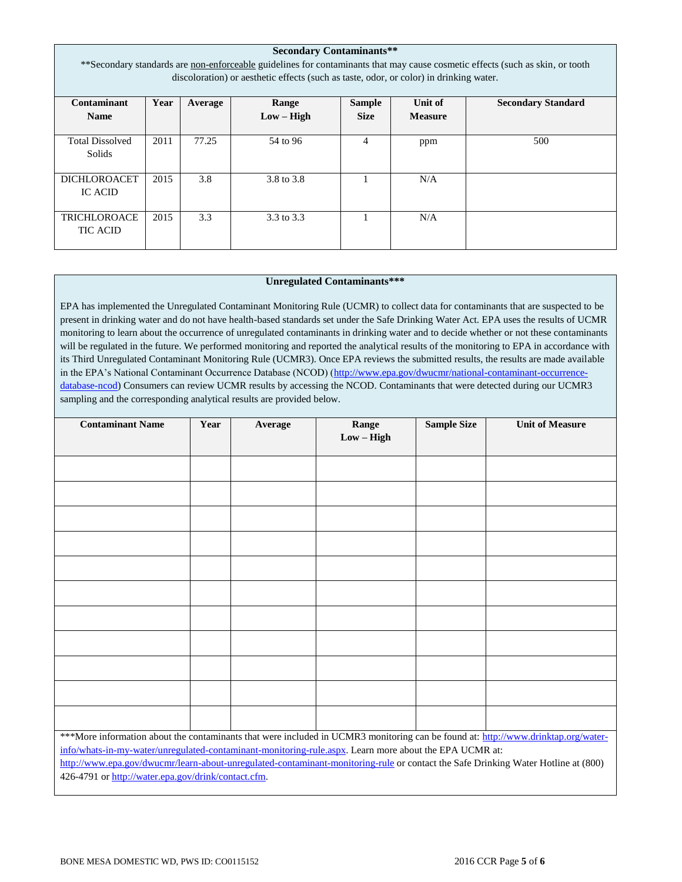| <b>Secondary Contaminants**</b><br>**Secondary standards are non-enforceable guidelines for contaminants that may cause cosmetic effects (such as skin, or tooth<br>discoloration) or aesthetic effects (such as taste, odor, or color) in drinking water. |      |       |            |                |     |     |  |  |
|------------------------------------------------------------------------------------------------------------------------------------------------------------------------------------------------------------------------------------------------------------|------|-------|------------|----------------|-----|-----|--|--|
| Contaminant<br>Year<br>Unit of<br><b>Secondary Standard</b><br>Range<br><b>Sample</b><br>Average<br>$Low - High$<br><b>Size</b><br><b>Name</b><br><b>Measure</b>                                                                                           |      |       |            |                |     |     |  |  |
| <b>Total Dissolved</b><br>Solids                                                                                                                                                                                                                           | 2011 | 77.25 | 54 to 96   | $\overline{4}$ | ppm | 500 |  |  |
| <b>DICHLOROACET</b><br><b>IC ACID</b>                                                                                                                                                                                                                      | 2015 | 3.8   | 3.8 to 3.8 |                | N/A |     |  |  |
| <b>TRICHLOROACE</b><br><b>TIC ACID</b>                                                                                                                                                                                                                     | 2015 | 3.3   | 3.3 to 3.3 |                | N/A |     |  |  |

### **Unregulated Contaminants\*\*\***

EPA has implemented the Unregulated Contaminant Monitoring Rule (UCMR) to collect data for contaminants that are suspected to be present in drinking water and do not have health-based standards set under the Safe Drinking Water Act. EPA uses the results of UCMR monitoring to learn about the occurrence of unregulated contaminants in drinking water and to decide whether or not these contaminants will be regulated in the future. We performed monitoring and reported the analytical results of the monitoring to EPA in accordance with its Third Unregulated Contaminant Monitoring Rule (UCMR3). Once EPA reviews the submitted results, the results are made available in the EPA's National Contaminant Occurrence Database (NCOD) [\(http://www.epa.gov/dwucmr/national-contaminant-occurrence](http://www.epa.gov/dwucmr/national-contaminant-occurrence-database-ncod)[database-ncod\)](http://www.epa.gov/dwucmr/national-contaminant-occurrence-database-ncod) Consumers can review UCMR results by accessing the NCOD. Contaminants that were detected during our UCMR3 sampling and the corresponding analytical results are provided below.

| <b>Contaminant Name</b>                                                                                                                                                                                                                     | Year | Average | Range        | <b>Sample Size</b> | <b>Unit of Measure</b> |  |  |
|---------------------------------------------------------------------------------------------------------------------------------------------------------------------------------------------------------------------------------------------|------|---------|--------------|--------------------|------------------------|--|--|
|                                                                                                                                                                                                                                             |      |         | $Low - High$ |                    |                        |  |  |
|                                                                                                                                                                                                                                             |      |         |              |                    |                        |  |  |
|                                                                                                                                                                                                                                             |      |         |              |                    |                        |  |  |
|                                                                                                                                                                                                                                             |      |         |              |                    |                        |  |  |
|                                                                                                                                                                                                                                             |      |         |              |                    |                        |  |  |
|                                                                                                                                                                                                                                             |      |         |              |                    |                        |  |  |
|                                                                                                                                                                                                                                             |      |         |              |                    |                        |  |  |
|                                                                                                                                                                                                                                             |      |         |              |                    |                        |  |  |
|                                                                                                                                                                                                                                             |      |         |              |                    |                        |  |  |
|                                                                                                                                                                                                                                             |      |         |              |                    |                        |  |  |
|                                                                                                                                                                                                                                             |      |         |              |                    |                        |  |  |
|                                                                                                                                                                                                                                             |      |         |              |                    |                        |  |  |
|                                                                                                                                                                                                                                             |      |         |              |                    |                        |  |  |
|                                                                                                                                                                                                                                             |      |         |              |                    |                        |  |  |
|                                                                                                                                                                                                                                             |      |         |              |                    |                        |  |  |
|                                                                                                                                                                                                                                             |      |         |              |                    |                        |  |  |
|                                                                                                                                                                                                                                             |      |         |              |                    |                        |  |  |
|                                                                                                                                                                                                                                             |      |         |              |                    |                        |  |  |
| ***More information about the contaminants that were included in UCMR3 monitoring can be found at: http://www.drinktap.org/water-                                                                                                           |      |         |              |                    |                        |  |  |
|                                                                                                                                                                                                                                             |      |         |              |                    |                        |  |  |
| info/whats-in-my-water/unregulated-contaminant-monitoring-rule.aspx. Learn more about the EPA UCMR at:<br>http://www.epa.gov/dwucmr/learn-about-unregulated-contaminant-monitoring-rule or contact the Safe Drinking Water Hotline at (800) |      |         |              |                    |                        |  |  |
| 426-4791 or http://water.epa.gov/drink/contact.cfm.                                                                                                                                                                                         |      |         |              |                    |                        |  |  |